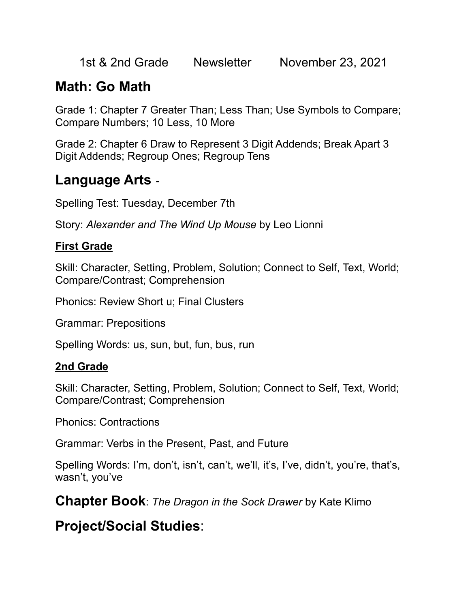1st & 2nd Grade Newsletter November 23, 2021

# **Math: Go Math**

Grade 1: Chapter 7 Greater Than; Less Than; Use Symbols to Compare; Compare Numbers; 10 Less, 10 More

Grade 2: Chapter 6 Draw to Represent 3 Digit Addends; Break Apart 3 Digit Addends; Regroup Ones; Regroup Tens

### **Language Arts** -

Spelling Test: Tuesday, December 7th

Story: *Alexander and The Wind Up Mouse* by Leo Lionni

#### **First Grade**

Skill: Character, Setting, Problem, Solution; Connect to Self, Text, World; Compare/Contrast; Comprehension

Phonics: Review Short u; Final Clusters

Grammar: Prepositions

Spelling Words: us, sun, but, fun, bus, run

#### **2nd Grade**

Skill: Character, Setting, Problem, Solution; Connect to Self, Text, World; Compare/Contrast; Comprehension

Phonics: Contractions

Grammar: Verbs in the Present, Past, and Future

Spelling Words: I'm, don't, isn't, can't, we'll, it's, I've, didn't, you're, that's, wasn't, you've

**Chapter Book**: *The Dragon in the Sock Drawer* by Kate Klimo

**Project/Social Studies**: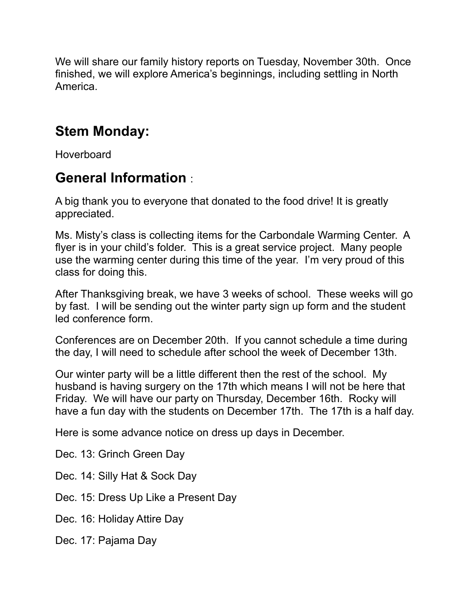We will share our family history reports on Tuesday, November 30th. Once finished, we will explore America's beginnings, including settling in North America.

## **Stem Monday:**

**Hoverboard** 

## **General Information** :

A big thank you to everyone that donated to the food drive! It is greatly appreciated.

Ms. Misty's class is collecting items for the Carbondale Warming Center. A flyer is in your child's folder. This is a great service project. Many people use the warming center during this time of the year. I'm very proud of this class for doing this.

After Thanksgiving break, we have 3 weeks of school. These weeks will go by fast. I will be sending out the winter party sign up form and the student led conference form.

Conferences are on December 20th. If you cannot schedule a time during the day, I will need to schedule after school the week of December 13th.

Our winter party will be a little different then the rest of the school. My husband is having surgery on the 17th which means I will not be here that Friday. We will have our party on Thursday, December 16th. Rocky will have a fun day with the students on December 17th. The 17th is a half day.

Here is some advance notice on dress up days in December.

Dec. 13: Grinch Green Day

Dec. 14: Silly Hat & Sock Day

Dec. 15: Dress Up Like a Present Day

Dec. 16: Holiday Attire Day

Dec. 17: Pajama Day